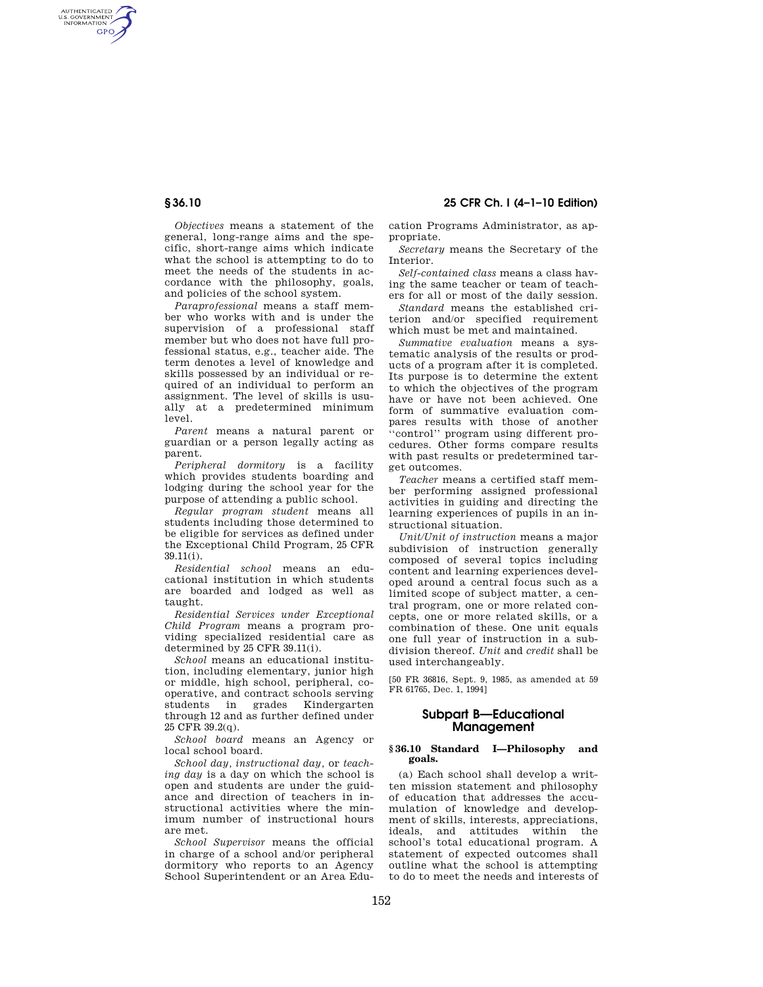AUTHENTICATED<br>U.S. GOVERNMENT<br>INFORMATION GPO

**§ 36.10 25 CFR Ch. I (4–1–10 Edition)** 

*Objectives* means a statement of the general, long-range aims and the specific, short-range aims which indicate what the school is attempting to do to meet the needs of the students in accordance with the philosophy, goals, and policies of the school system.

*Paraprofessional* means a staff member who works with and is under the supervision of a professional staff member but who does not have full professional status, e.g., teacher aide. The term denotes a level of knowledge and skills possessed by an individual or required of an individual to perform an assignment. The level of skills is usually at a predetermined minimum level.

*Parent* means a natural parent or guardian or a person legally acting as parent.

*Peripheral dormitory* is a facility which provides students boarding and lodging during the school year for the purpose of attending a public school.

*Regular program student* means all students including those determined to be eligible for services as defined under the Exceptional Child Program, 25 CFR 39.11(i).

*Residential school* means an educational institution in which students are boarded and lodged as well as taught.

*Residential Services under Exceptional Child Program* means a program providing specialized residential care as determined by 25 CFR 39.11(i).

*School* means an educational institution, including elementary, junior high or middle, high school, peripheral, cooperative, and contract schools serving<br>students in grades Kindergarten grades Kindergarten through 12 and as further defined under 25 CFR 39.2(q).

*School board* means an Agency or local school board.

*School day, instructional day,* or *teaching day* is a day on which the school is open and students are under the guidance and direction of teachers in instructional activities where the minimum number of instructional hours are met.

*School Supervisor* means the official in charge of a school and/or peripheral dormitory who reports to an Agency School Superintendent or an Area Education Programs Administrator, as appropriate.

*Secretary* means the Secretary of the Interior.

*Self-contained class* means a class having the same teacher or team of teachers for all or most of the daily session.

*Standard* means the established criterion and/or specified requirement which must be met and maintained.

*Summative evaluation* means a systematic analysis of the results or products of a program after it is completed. Its purpose is to determine the extent to which the objectives of the program have or have not been achieved. One form of summative evaluation compares results with those of another ''control'' program using different procedures. Other forms compare results with past results or predetermined target outcomes.

*Teacher* means a certified staff member performing assigned professional activities in guiding and directing the learning experiences of pupils in an instructional situation.

*Unit/Unit of instruction* means a major subdivision of instruction generally composed of several topics including content and learning experiences developed around a central focus such as a limited scope of subject matter, a central program, one or more related concepts, one or more related skills, or a combination of these. One unit equals one full year of instruction in a subdivision thereof. *Unit* and *credit* shall be used interchangeably.

[50 FR 36816, Sept. 9, 1985, as amended at 59 FR 61765, Dec. 1, 1994]

# **Subpart B—Educational Management**

### **§ 36.10 Standard I—Philosophy and goals.**

(a) Each school shall develop a written mission statement and philosophy of education that addresses the accumulation of knowledge and development of skills, interests, appreciations, ideals, and attitudes within the school's total educational program. A statement of expected outcomes shall outline what the school is attempting to do to meet the needs and interests of